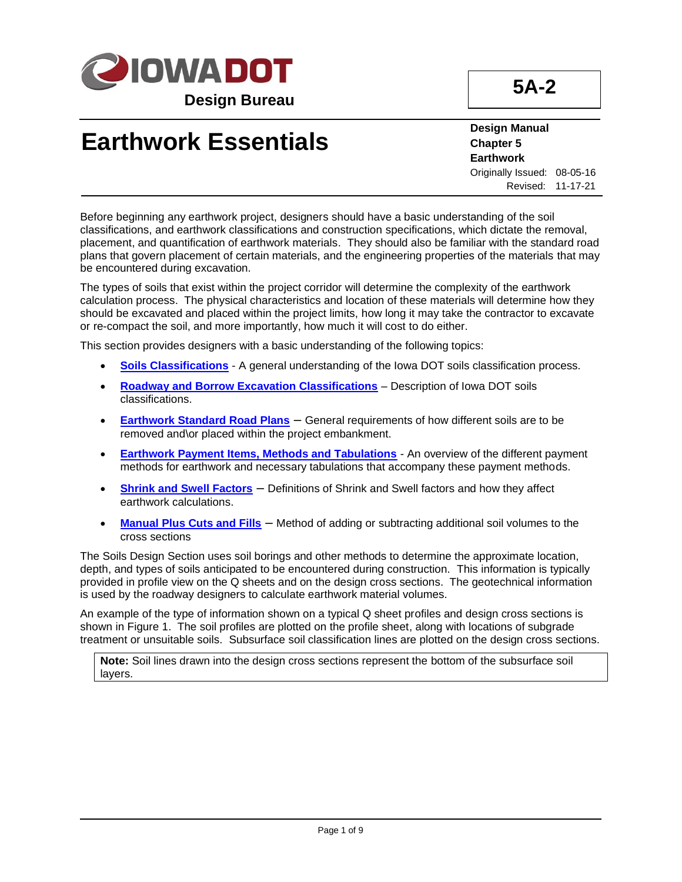

**5A-2**

# **Earthwork Essentials**

**Design Manual Chapter 5 Earthwork** Originally Issued: 08-05-16 Revised: 11-17-21

Before beginning any earthwork project, designers should have a basic understanding of the soil classifications, and earthwork classifications and construction specifications, which dictate the removal, placement, and quantification of earthwork materials. They should also be familiar with the standard road plans that govern placement of certain materials, and the engineering properties of the materials that may be encountered during excavation.

The types of soils that exist within the project corridor will determine the complexity of the earthwork calculation process. The physical characteristics and location of these materials will determine how they should be excavated and placed within the project limits, how long it may take the contractor to excavate or re-compact the soil, and more importantly, how much it will cost to do either.

This section provides designers with a basic understanding of the following topics:

- **[Soils Classifications](#page-1-0)** A general understanding of the Iowa DOT soils classification process.
- **[Roadway and Borrow Excavation Classifications](#page-1-1)** Description of Iowa DOT soils classifications.
- **[Earthwork Standard Road Plans](#page-2-0)** General requirements of how different soils are to be removed and\or placed within the project embankment.
- **[Earthwork Payment Items, Methods and Tabulations](#page-3-0)** An overview of the different payment methods for earthwork and necessary tabulations that accompany these payment methods.
- **[Shrink and Swell Factors](#page-5-0)** Definitions of Shrink and Swell factors and how they affect earthwork calculations.
- **[Manual Plus Cuts and Fills](#page-6-0)** Method of adding or subtracting additional soil volumes to the cross sections

The Soils Design Section uses soil borings and other methods to determine the approximate location, depth, and types of soils anticipated to be encountered during construction. This information is typically provided in profile view on the Q sheets and on the design cross sections. The geotechnical information is used by the roadway designers to calculate earthwork material volumes.

An example of the type of information shown on a typical Q sheet profiles and design cross sections is shown in Figure 1. The soil profiles are plotted on the profile sheet, along with locations of subgrade treatment or unsuitable soils. Subsurface soil classification lines are plotted on the design cross sections.

**Note:** Soil lines drawn into the design cross sections represent the bottom of the subsurface soil layers.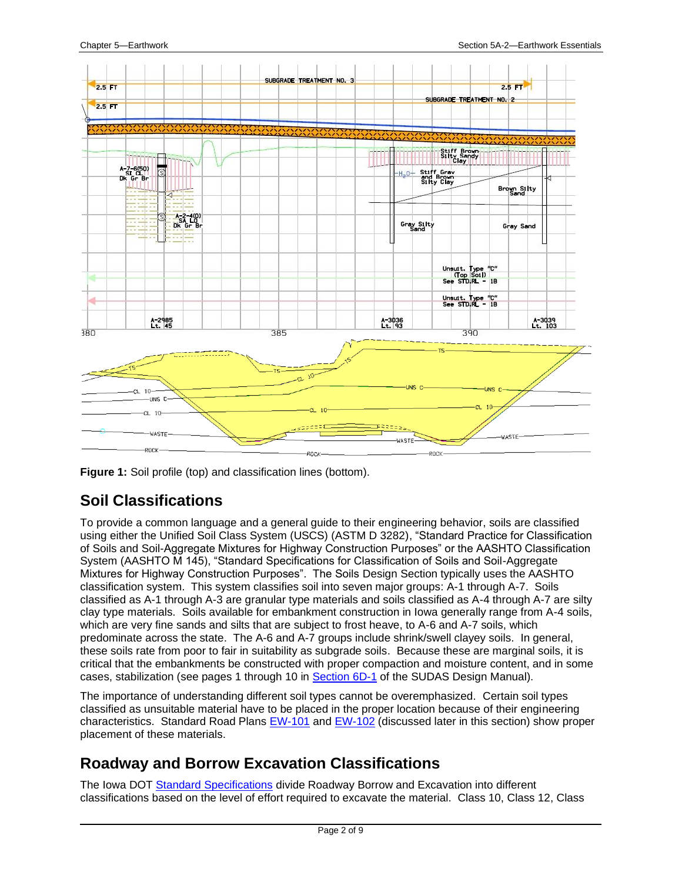

**Figure 1:** Soil profile (top) and classification lines (bottom).

## <span id="page-1-0"></span>**Soil Classifications**

To provide a common language and a general guide to their engineering behavior, soils are classified using either the Unified Soil Class System (USCS) (ASTM D 3282), "Standard Practice for Classification of Soils and Soil-Aggregate Mixtures for Highway Construction Purposes" or the AASHTO Classification System (AASHTO M 145), "Standard Specifications for Classification of Soils and Soil-Aggregate Mixtures for Highway Construction Purposes". The Soils Design Section typically uses the AASHTO classification system. This system classifies soil into seven major groups: A-1 through A-7. Soils classified as A-1 through A-3 are granular type materials and soils classified as A-4 through A-7 are silty clay type materials. Soils available for embankment construction in Iowa generally range from A-4 soils, which are very fine sands and silts that are subject to frost heave, to A-6 and A-7 soils, which predominate across the state. The A-6 and A-7 groups include shrink/swell clayey soils. In general, these soils rate from poor to fair in suitability as subgrade soils. Because these are marginal soils, it is critical that the embankments be constructed with proper compaction and moisture content, and in some cases, stabilization (see pages 1 through 10 in [Section](https://intrans.iastate.edu/app/uploads/sites/15/2020/03/6D-1.pdf) 6D-1 of the SUDAS Design Manual).

The importance of understanding different soil types cannot be overemphasized. Certain soil types classified as unsuitable material have to be placed in the proper location because of their engineering characteristics. Standard Road Plans [EW-101](../SRP/IndividualStandards/ew101.pdf) and [EW-102](../SRP/IndividualStandards/ew102.pdf) (discussed later in this section) show proper placement of these materials.

## <span id="page-1-1"></span>**Roadway and Borrow Excavation Classifications**

The Iowa DOT [Standard Specifications](https://iowadot.gov/specifications/) divide Roadway Borrow and Excavation into different classifications based on the level of effort required to excavate the material. Class 10, Class 12, Class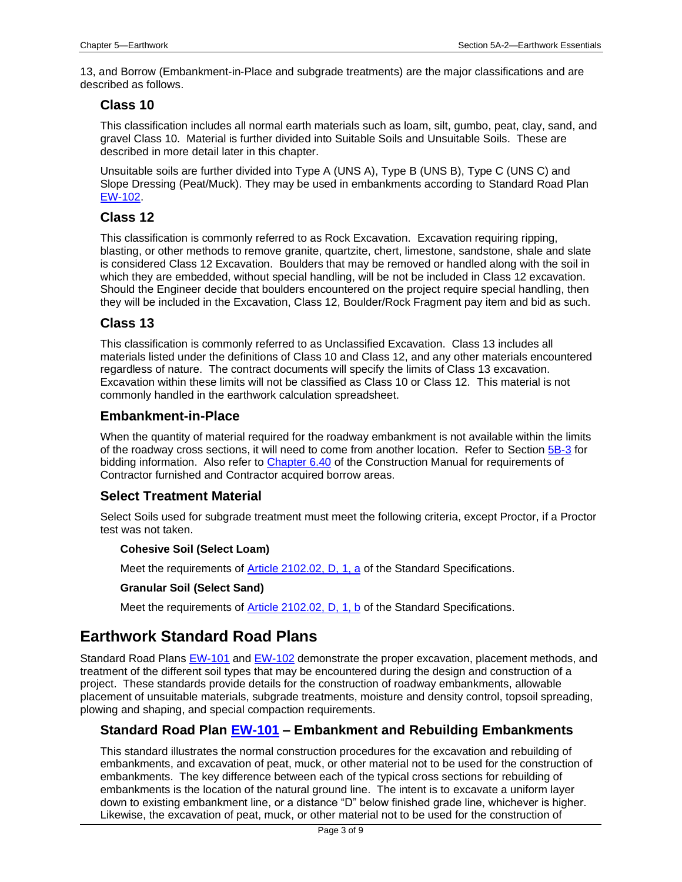13, and Borrow (Embankment-in-Place and subgrade treatments) are the major classifications and are described as follows.

### **Class 10**

This classification includes all normal earth materials such as loam, silt, gumbo, peat, clay, sand, and gravel Class 10. Material is further divided into Suitable Soils and Unsuitable Soils. These are described in more detail later in this chapter.

Unsuitable soils are further divided into Type A (UNS A), Type B (UNS B), Type C (UNS C) and Slope Dressing (Peat/Muck). They may be used in embankments according to Standard Road Plan [EW-102.](../SRP/IndividualStandards/ew102.pdf)

## **Class 12**

This classification is commonly referred to as Rock Excavation. Excavation requiring ripping, blasting, or other methods to remove granite, quartzite, chert, limestone, sandstone, shale and slate is considered Class 12 Excavation. Boulders that may be removed or handled along with the soil in which they are embedded, without special handling, will be not be included in Class 12 excavation. Should the Engineer decide that boulders encountered on the project require special handling, then they will be included in the Excavation, Class 12, Boulder/Rock Fragment pay item and bid as such.

## **Class 13**

This classification is commonly referred to as Unclassified Excavation. Class 13 includes all materials listed under the definitions of Class 10 and Class 12, and any other materials encountered regardless of nature. The contract documents will specify the limits of Class 13 excavation. Excavation within these limits will not be classified as Class 10 or Class 12. This material is not commonly handled in the earthwork calculation spreadsheet.

### **Embankment-in-Place**

When the quantity of material required for the roadway embankment is not available within the limits of the roadway cross sections, it will need to come from another location. Refer to Section [5B-3](05b-03.pdf) for bidding information. Also refer to [Chapter 6.40](../../erl/current/CM/content/CM%206.40.htm) of the Construction Manual for requirements of Contractor furnished and Contractor acquired borrow areas.

## **Select Treatment Material**

Select Soils used for subgrade treatment must meet the following criteria, except Proctor, if a Proctor test was not taken.

#### **Cohesive Soil (Select Loam)**

Meet the requirements of **Article 2102.02, D, 1, a** of the Standard Specifications.

#### **Granular Soil (Select Sand)**

Meet the requirements of [Article 2102.02, D, 1, b](../../erl/current/GS/content/2102.htm) of the Standard Specifications.

## <span id="page-2-0"></span>**Earthwork Standard Road Plans**

Standard Road Plans [EW-101](../SRP/IndividualStandards/ew101.pdf) and [EW-102](../SRP/IndividualStandards/ew102.pdf) demonstrate the proper excavation, placement methods, and treatment of the different soil types that may be encountered during the design and construction of a project. These standards provide details for the construction of roadway embankments, allowable placement of unsuitable materials, subgrade treatments, moisture and density control, topsoil spreading, plowing and shaping, and special compaction requirements.

## **Standard Road Plan [EW-101](../SRP/IndividualStandards/ew101.pdf) – Embankment and Rebuilding Embankments**

This standard illustrates the normal construction procedures for the excavation and rebuilding of embankments, and excavation of peat, muck, or other material not to be used for the construction of embankments. The key difference between each of the typical cross sections for rebuilding of embankments is the location of the natural ground line. The intent is to excavate a uniform layer down to existing embankment line, or a distance "D" below finished grade line, whichever is higher. Likewise, the excavation of peat, muck, or other material not to be used for the construction of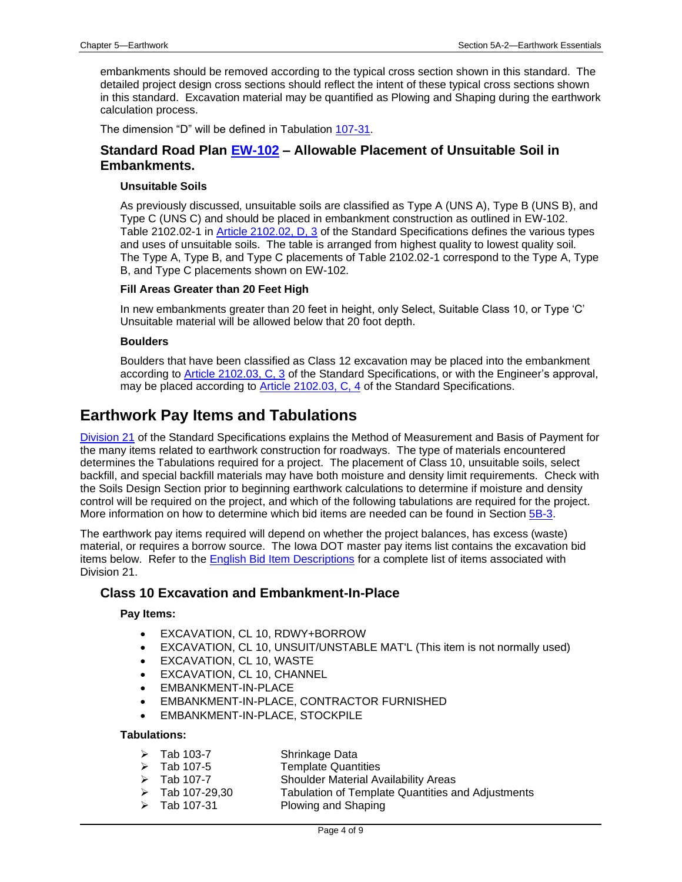embankments should be removed according to the typical cross section shown in this standard. The detailed project design cross sections should reflect the intent of these typical cross sections shown in this standard. Excavation material may be quantified as Plowing and Shaping during the earthwork calculation process.

The dimension "D" will be defined in Tabulation [107-31.](../tnt/PDFsandWebFiles/IndividualPDFs/0107-31.pdf)

## **Standard Road Plan [EW-102](../SRP/IndividualStandards/ew102.pdf) – Allowable Placement of Unsuitable Soil in Embankments.**

#### **Unsuitable Soils**

As previously discussed, unsuitable soils are classified as Type A (UNS A), Type B (UNS B), and Type C (UNS C) and should be placed in embankment construction as outlined in EW-102. Table 2102.02-1 in [Article 2102.02, D, 3](../../erl/current/GS/content/2102.htm) of the Standard Specifications defines the various types and uses of unsuitable soils. The table is arranged from highest quality to lowest quality soil. The Type A, Type B, and Type C placements of Table 2102.02-1 correspond to the Type A, Type B, and Type C placements shown on EW-102.

#### **Fill Areas Greater than 20 Feet High**

In new embankments greater than 20 feet in height, only Select, Suitable Class 10, or Type 'C' Unsuitable material will be allowed below that 20 foot depth.

#### **Boulders**

Boulders that have been classified as Class 12 excavation may be placed into the embankment according to [Article 2102.03, C, 3](../../erl/current/GS/content/2102.htm) of the Standard Specifications, or with the Engineer's approval, may be placed according to [Article 2102.03, C, 4](../../erl/current/GS/content/2102.htm) of the Standard Specifications.

## <span id="page-3-0"></span>**Earthwork Pay Items and Tabulations**

[Division 21](../../erl/current/GS/Navigation/nav21.htm) of the Standard Specifications explains the Method of Measurement and Basis of Payment for the many items related to earthwork construction for roadways. The type of materials encountered determines the Tabulations required for a project. The placement of Class 10, unsuitable soils, select backfill, and special backfill materials may have both moisture and density limit requirements. Check with the Soils Design Section prior to beginning earthwork calculations to determine if moisture and density control will be required on the project, and which of the following tabulations are required for the project. More information on how to determine which bid items are needed can be found in Section [5B-3.](05B-03.pdf)

The earthwork pay items required will depend on whether the project balances, has excess (waste) material, or requires a borrow source. The Iowa DOT master pay items list contains the excavation bid items below. Refer to the [English Bid Item Descriptions](https://iowadot.gov/contracts/Bid_Item_Descriptions.pdf) for a complete list of items associated with Division 21.

## **Class 10 Excavation and Embankment-In-Place**

#### **Pay Items:**

- EXCAVATION, CL 10, RDWY+BORROW
- EXCAVATION, CL 10, UNSUIT/UNSTABLE MAT'L (This item is not normally used)
- EXCAVATION, CL 10, WASTE
- EXCAVATION, CL 10, CHANNEL
- EMBANKMENT-IN-PLACE
- EMBANKMENT-IN-PLACE, CONTRACTOR FURNISHED
- EMBANKMENT-IN-PLACE, STOCKPILE

#### **Tabulations:**

- ➢ Tab 103-7 Shrinkage Data
- ➢ Tab 107-5 Template Quantities
- ➢ Tab 107-7 Shoulder Material Availability Areas
- ➢ Tab 107-29,30 Tabulation of Template Quantities and Adjustments
- ➢ Tab 107-31 Plowing and Shaping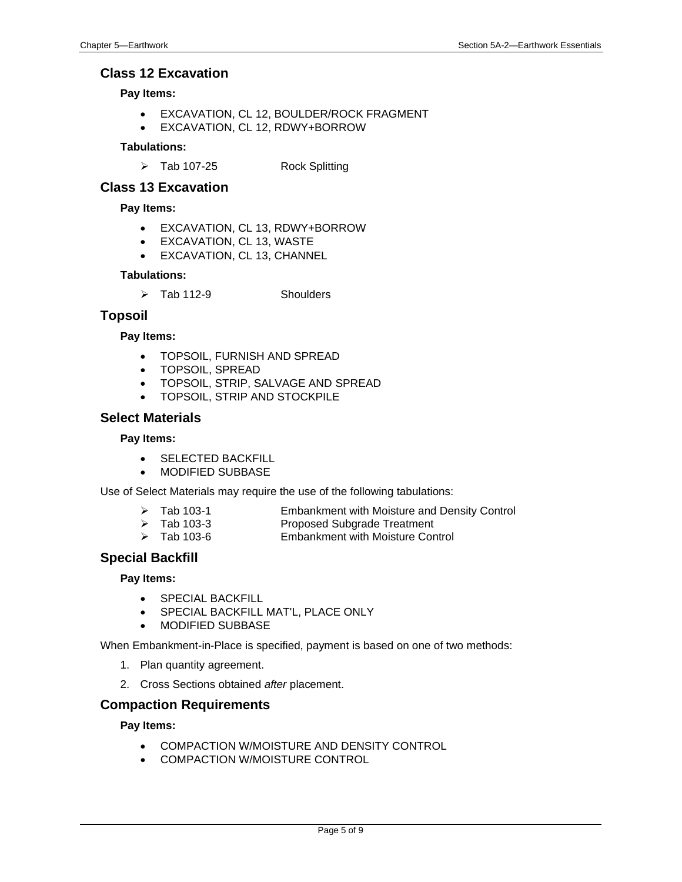### **Class 12 Excavation**

#### **Pay Items:**

- EXCAVATION, CL 12, BOULDER/ROCK FRAGMENT
- EXCAVATION, CL 12, RDWY+BORROW

#### **Tabulations:**

➢ Tab 107-25 Rock Splitting

### **Class 13 Excavation**

#### **Pay Items:**

- EXCAVATION, CL 13, RDWY+BORROW
- EXCAVATION, CL 13, WASTE
- EXCAVATION, CL 13, CHANNEL

#### **Tabulations:**

➢ Tab 112-9 Shoulders

### **Topsoil**

#### **Pay Items:**

- TOPSOIL, FURNISH AND SPREAD
- TOPSOIL, SPREAD
- TOPSOIL, STRIP, SALVAGE AND SPREAD
- TOPSOIL, STRIP AND STOCKPILE

### **Select Materials**

#### **Pay Items:**

- SELECTED BACKFILL
- MODIFIED SUBBASE

Use of Select Materials may require the use of the following tabulations:

| Tab 103-1       | <b>Embankment with Moisture and Density Control</b> |  |  |
|-----------------|-----------------------------------------------------|--|--|
| — <u>1.aa</u> a |                                                     |  |  |

- ➢ Tab 103-3 Proposed Subgrade Treatment
- ➢ Tab 103-6 Embankment with Moisture Control

## **Special Backfill**

#### **Pay Items:**

- SPECIAL BACKFILL
- SPECIAL BACKFILL MAT'L, PLACE ONLY
- MODIFIED SUBBASE

When Embankment-in-Place is specified, payment is based on one of two methods:

- 1. Plan quantity agreement.
- 2. Cross Sections obtained *after* placement.

## **Compaction Requirements**

#### **Pay Items:**

- COMPACTION W/MOISTURE AND DENSITY CONTROL
- COMPACTION W/MOISTURE CONTROL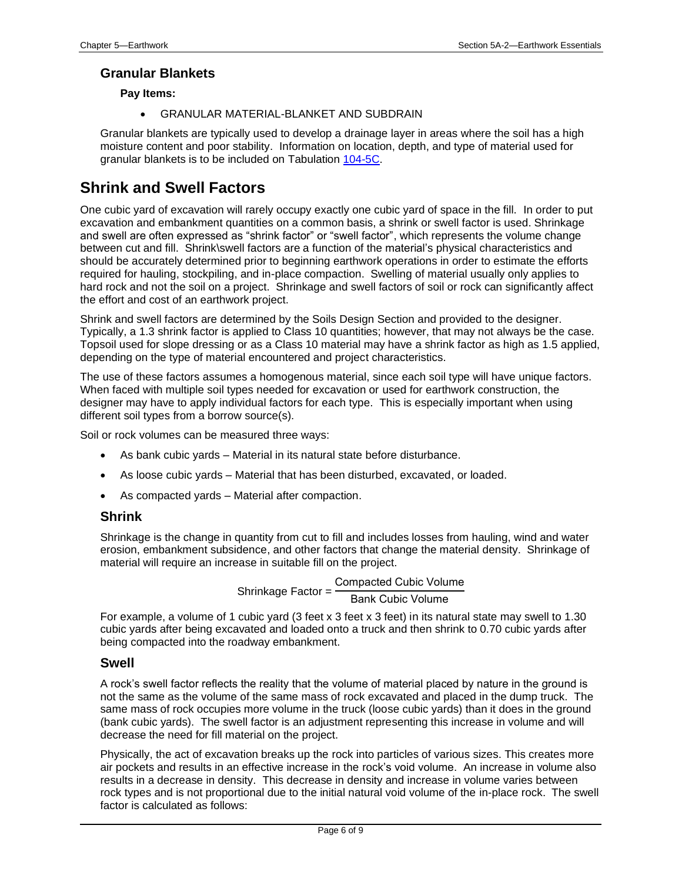### **Granular Blankets**

#### **Pay Items:**

• GRANULAR MATERIAL-BLANKET AND SUBDRAIN

Granular blankets are typically used to develop a drainage layer in areas where the soil has a high moisture content and poor stability. Information on location, depth, and type of material used for granular blankets is to be included on Tabulation [104-5C.](../tnt/PDFsandWebFiles/IndividualPDFs/0104-05C.PDF)

## <span id="page-5-0"></span>**Shrink and Swell Factors**

One cubic yard of excavation will rarely occupy exactly one cubic yard of space in the fill. In order to put excavation and embankment quantities on a common basis, a shrink or swell factor is used. Shrinkage and swell are often expressed as "shrink factor" or "swell factor", which represents the volume change between cut and fill. Shrink\swell factors are a function of the material's physical characteristics and should be accurately determined prior to beginning earthwork operations in order to estimate the efforts required for hauling, stockpiling, and in-place compaction. Swelling of material usually only applies to hard rock and not the soil on a project. Shrinkage and swell factors of soil or rock can significantly affect the effort and cost of an earthwork project.

Shrink and swell factors are determined by the Soils Design Section and provided to the designer. Typically, a 1.3 shrink factor is applied to Class 10 quantities; however, that may not always be the case. Topsoil used for slope dressing or as a Class 10 material may have a shrink factor as high as 1.5 applied, depending on the type of material encountered and project characteristics.

The use of these factors assumes a homogenous material, since each soil type will have unique factors. When faced with multiple soil types needed for excavation or used for earthwork construction, the designer may have to apply individual factors for each type. This is especially important when using different soil types from a borrow source(s).

Soil or rock volumes can be measured three ways:

- As bank cubic yards Material in its natural state before disturbance.
- As loose cubic yards Material that has been disturbed, excavated, or loaded.
- As compacted yards Material after compaction.

#### **Shrink**

Shrinkage is the change in quantity from cut to fill and includes losses from hauling, wind and water erosion, embankment subsidence, and other factors that change the material density. Shrinkage of material will require an increase in suitable fill on the project.

> Shrinkage Factor = Compacted Cubic Volume Bank Cubic Volume

For example, a volume of 1 cubic yard (3 feet x 3 feet x 3 feet) in its natural state may swell to 1.30 cubic yards after being excavated and loaded onto a truck and then shrink to 0.70 cubic yards after being compacted into the roadway embankment.

#### **Swell**

A rock's swell factor reflects the reality that the volume of material placed by nature in the ground is not the same as the volume of the same mass of rock excavated and placed in the dump truck. The same mass of rock occupies more volume in the truck (loose cubic yards) than it does in the ground (bank cubic yards). The swell factor is an adjustment representing this increase in volume and will decrease the need for fill material on the project.

Physically, the act of excavation breaks up the rock into particles of various sizes. This creates more air pockets and results in an effective increase in the rock's void volume. An increase in volume also results in a decrease in density. This decrease in density and increase in volume varies between rock types and is not proportional due to the initial natural void volume of the in-place rock. The swell factor is calculated as follows: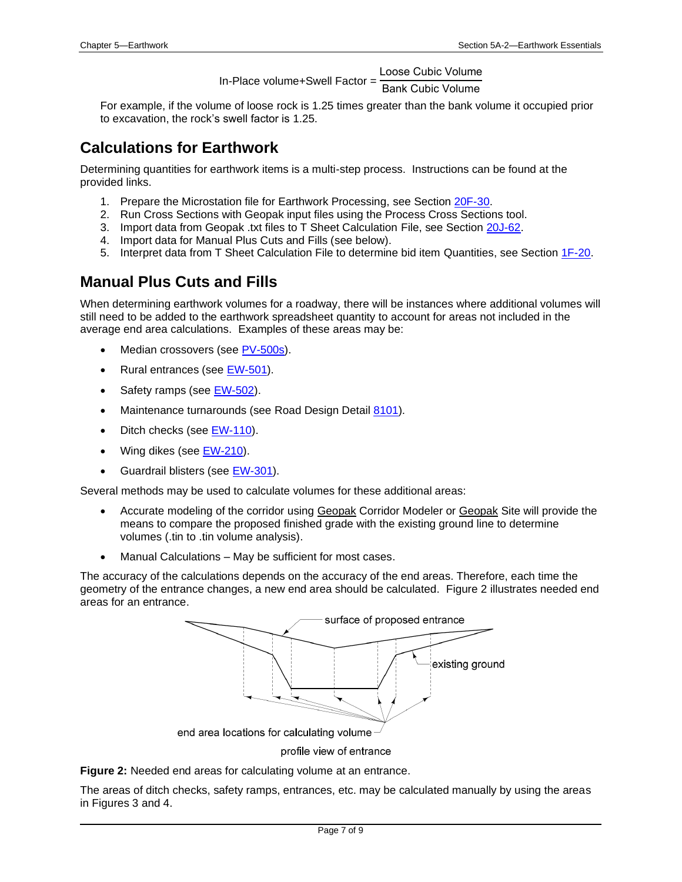In-Place volume+Swell Factor = Loose Cubic Volume

Bank Cubic Volume

For example, if the volume of loose rock is 1.25 times greater than the bank volume it occupied prior to excavation, the rock's swell factor is 1.25.

## **Calculations for Earthwork**

Determining quantities for earthwork items is a multi-step process. Instructions can be found at the provided links.

- 1. Prepare the Microstation file for Earthwork Processing, see Section [20F-30.](20F-30.pdf)
- 2. Run Cross Sections with Geopak input files using the Process Cross Sections tool.
- 3. Import data from Geopak .txt files to T Sheet Calculation File, see Sectio[n 20J-62.](20j-62.pdf)
- 4. Import data for Manual Plus Cuts and Fills (see below).
- 5. Interpret data from T Sheet Calculation File to determine bid item Quantities, see Section [1F-20.](01F-20.pdf)

## <span id="page-6-0"></span>**Manual Plus Cuts and Fills**

When determining earthwork volumes for a roadway, there will be instances where additional volumes will still need to be added to the earthwork spreadsheet quantity to account for areas not included in the average end area calculations. Examples of these areas may be:

- Median crossovers (see [PV-500s\)](../stdplne_pv).
- Rural entrances (see [EW-501\)](../SRP/IndividualStandards/ew501.pdf).
- Safety ramps (see [EW-502\)](../SRP/IndividualStandards/ew502.pdf).
- Maintenance turnarounds (see Road Design Detail [8101\)](../tnt/PDFsandWebFiles/IndividualPDFs/8101.pdf).
- Ditch checks (se[e EW-110\)](../SRP/IndividualStandards/ew110.pdf).
- Wing dikes (see [EW-210\)](../SRP/IndividualStandards/ew210.pdf).
- Guardrail blisters (see [EW-301\)](../SRP/IndividualStandards/ew301.pdf).

Several methods may be used to calculate volumes for these additional areas:

- Accurate modeling of the corridor using Geopak Corridor Modeler or Geopak Site will provide the means to compare the proposed finished grade with the existing ground line to determine volumes (.tin to .tin volume analysis).
- Manual Calculations May be sufficient for most cases.

The accuracy of the calculations depends on the accuracy of the end areas. Therefore, each time the geometry of the entrance changes, a new end area should be calculated. Figure 2 illustrates needed end areas for an entrance.



profile view of entrance

**Figure 2:** Needed end areas for calculating volume at an entrance.

The areas of ditch checks, safety ramps, entrances, etc. may be calculated manually by using the areas in Figures 3 and 4.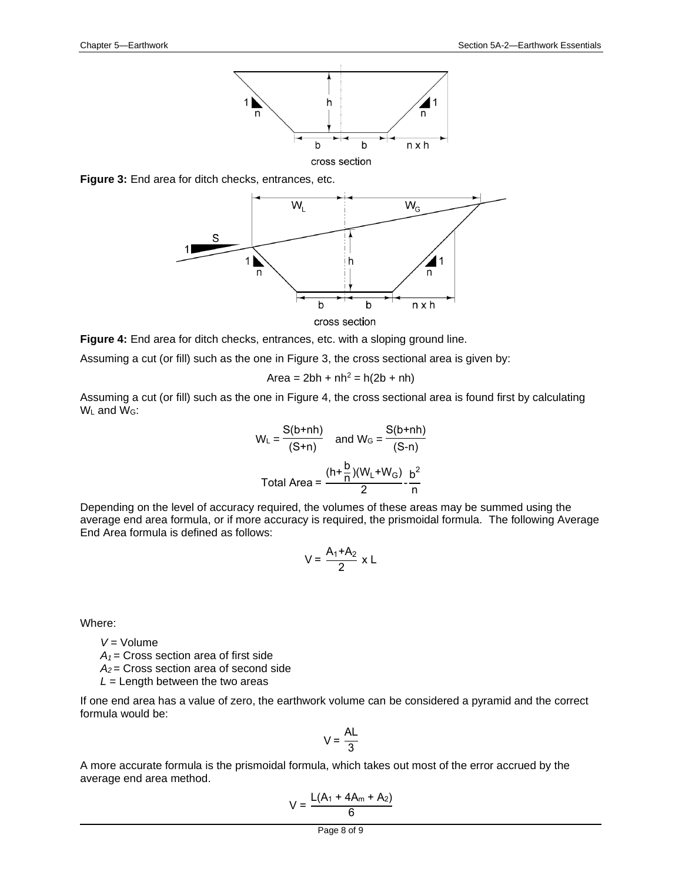

**Figure 3:** End area for ditch checks, entrances, etc.



**Figure 4:** End area for ditch checks, entrances, etc. with a sloping ground line.

Assuming a cut (or fill) such as the one in Figure 3, the cross sectional area is given by:

 $Area = 2bh + nh^2 = h(2b + nh)$ 

Assuming a cut (or fill) such as the one in Figure 4, the cross sectional area is found first by calculating W<sub>L</sub> and W<sub>G</sub>:

$$
W_{L} = \frac{S(b+nh)}{(S+n)} \quad \text{and } W_{G} = \frac{S(b+nh)}{(S-n)}
$$
  
Total Area = 
$$
\frac{(h+\frac{b}{n})(W_{L}+W_{G})}{2} - \frac{b^{2}}{n}
$$

Depending on the level of accuracy required, the volumes of these areas may be summed using the average end area formula, or if more accuracy is required, the prismoidal formula. The following Average End Area formula is defined as follows:

$$
V = \frac{A_1 + A_2}{2} \times L
$$

Where:

*V* = Volume

*A<sup>1</sup>* = Cross section area of first side

*A<sup>2</sup>* = Cross section area of second side

 $L =$  Length between the two areas

If one end area has a value of zero, the earthwork volume can be considered a pyramid and the correct formula would be:

$$
V = \frac{AL}{3}
$$

A more accurate formula is the prismoidal formula, which takes out most of the error accrued by the average end area method.

$$
V = \frac{L(A_1 + 4A_m + A_2)}{6}
$$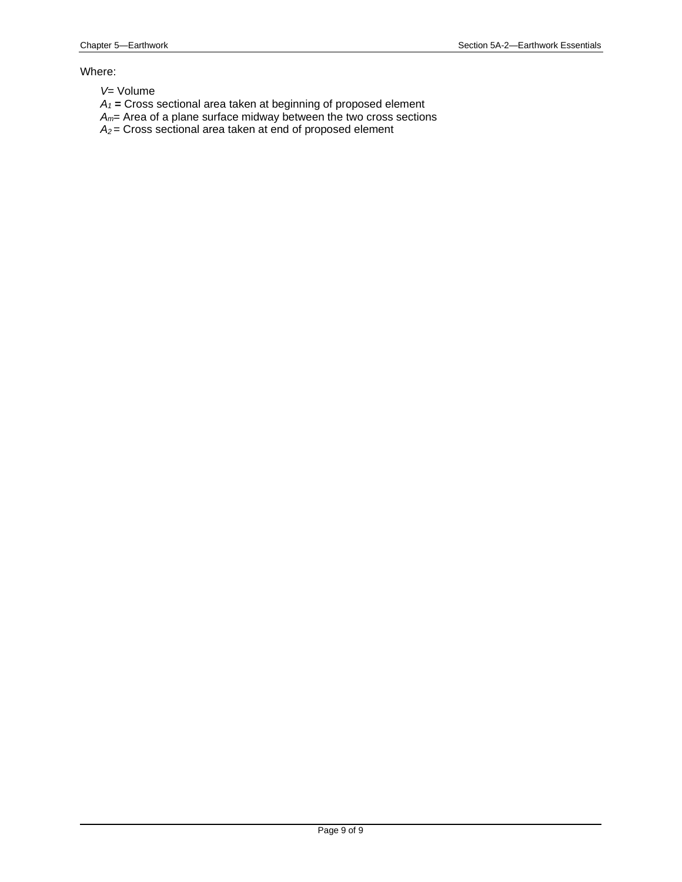#### Where:

- *V*= Volume
- *A<sup>1</sup>* **=** Cross sectional area taken at beginning of proposed element
- *Am*= Area of a plane surface midway between the two cross sections
- *A<sup>2</sup>* = Cross sectional area taken at end of proposed element